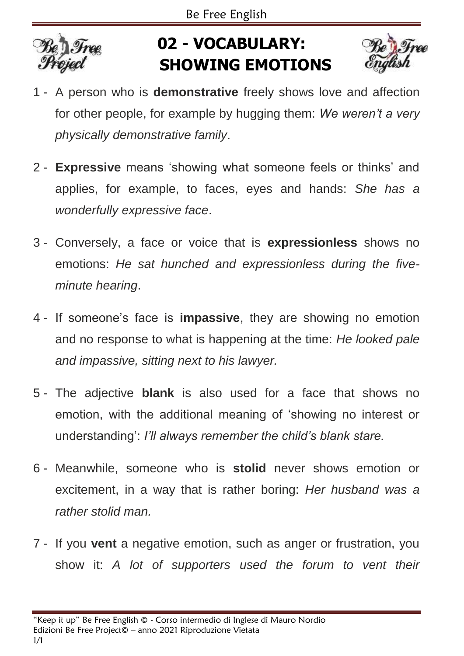

## **02 - VOCABULARY: SHOWING EMOTIONS**



- 1 A person who is **demonstrative** freely shows love and affection for other people, for example by hugging them: *We weren't a very physically demonstrative family*.
- 2 **Expressive** means 'showing what someone feels or thinks' and applies, for example, to faces, eyes and hands: *She has a wonderfully expressive face*.
- 3 Conversely, a face or voice that is **expressionless** shows no emotions: *He sat hunched and expressionless during the fiveminute hearing*.
- 4 If someone's face is **impassive**, they are showing no emotion and no response to what is happening at the time: *He looked pale and impassive, sitting next to his lawyer.*
- 5 The adjective **blank** is also used for a face that shows no emotion, with the additional meaning of 'showing no interest or understanding': *I'll always remember the child's blank stare.*
- 6 Meanwhile, someone who is **stolid** never shows emotion or excitement, in a way that is rather boring: *Her husband was a rather stolid man.*
- 7 If you **vent** a negative emotion, such as anger or frustration, you show it: *A lot of supporters used the forum to vent their*